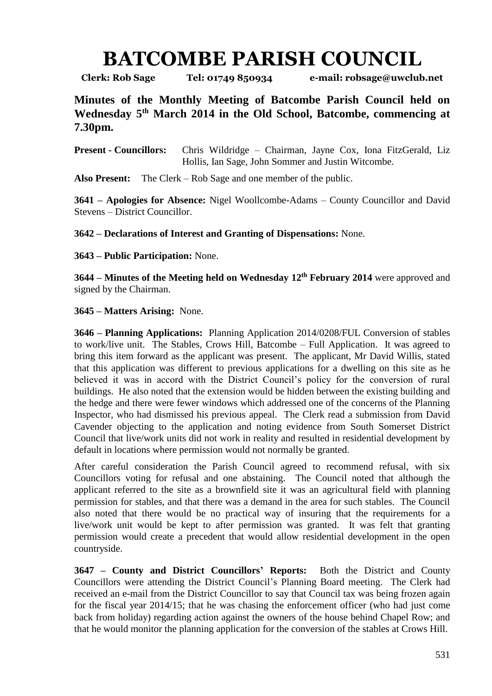## **BATCOMBE PARISH COUNCIL**

**Clerk: Rob Sage Tel: 01749 850934 e-mail: robsage@uwclub.net**

**Minutes of the Monthly Meeting of Batcombe Parish Council held on Wednesday 5 th March 2014 in the Old School, Batcombe, commencing at 7.30pm.**

**Present - Councillors:** Chris Wildridge – Chairman, Jayne Cox, Iona FitzGerald, Liz Hollis, Ian Sage, John Sommer and Justin Witcombe.

**Also Present:** The Clerk – Rob Sage and one member of the public.

**3641 – Apologies for Absence:** Nigel Woollcombe-Adams – County Councillor and David Stevens – District Councillor.

**3642 – Declarations of Interest and Granting of Dispensations:** None.

**3643 – Public Participation:** None.

**3644 – Minutes of the Meeting held on Wednesday 12th February 2014** were approved and signed by the Chairman.

## **3645 – Matters Arising:** None.

**3646 – Planning Applications:** Planning Application 2014/0208/FUL Conversion of stables to work/live unit. The Stables, Crows Hill, Batcombe – Full Application. It was agreed to bring this item forward as the applicant was present. The applicant, Mr David Willis, stated that this application was different to previous applications for a dwelling on this site as he believed it was in accord with the District Council's policy for the conversion of rural buildings. He also noted that the extension would be hidden between the existing building and the hedge and there were fewer windows which addressed one of the concerns of the Planning Inspector, who had dismissed his previous appeal. The Clerk read a submission from David Cavender objecting to the application and noting evidence from South Somerset District Council that live/work units did not work in reality and resulted in residential development by default in locations where permission would not normally be granted.

After careful consideration the Parish Council agreed to recommend refusal, with six Councillors voting for refusal and one abstaining. The Council noted that although the applicant referred to the site as a brownfield site it was an agricultural field with planning permission for stables, and that there was a demand in the area for such stables. The Council also noted that there would be no practical way of insuring that the requirements for a live/work unit would be kept to after permission was granted. It was felt that granting permission would create a precedent that would allow residential development in the open countryside.

**3647 – County and District Councillors' Reports:** Both the District and County Councillors were attending the District Council's Planning Board meeting.The Clerk had received an e-mail from the District Councillor to say that Council tax was being frozen again for the fiscal year 2014/15; that he was chasing the enforcement officer (who had just come back from holiday) regarding action against the owners of the house behind Chapel Row; and that he would monitor the planning application for the conversion of the stables at Crows Hill.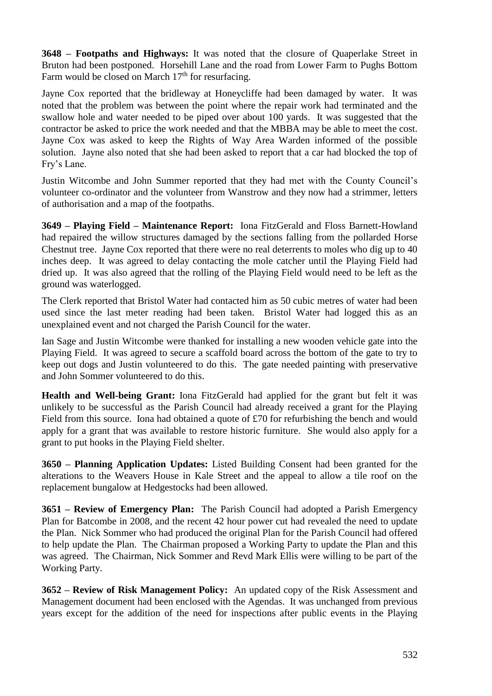**3648 – Footpaths and Highways:** It was noted that the closure of Quaperlake Street in Bruton had been postponed. Horsehill Lane and the road from Lower Farm to Pughs Bottom Farm would be closed on March  $17<sup>th</sup>$  for resurfacing.

Jayne Cox reported that the bridleway at Honeycliffe had been damaged by water. It was noted that the problem was between the point where the repair work had terminated and the swallow hole and water needed to be piped over about 100 yards. It was suggested that the contractor be asked to price the work needed and that the MBBA may be able to meet the cost. Jayne Cox was asked to keep the Rights of Way Area Warden informed of the possible solution. Jayne also noted that she had been asked to report that a car had blocked the top of Fry's Lane.

Justin Witcombe and John Summer reported that they had met with the County Council's volunteer co-ordinator and the volunteer from Wanstrow and they now had a strimmer, letters of authorisation and a map of the footpaths.

**3649 – Playing Field – Maintenance Report:** Iona FitzGerald and Floss Barnett-Howland had repaired the willow structures damaged by the sections falling from the pollarded Horse Chestnut tree. Jayne Cox reported that there were no real deterrents to moles who dig up to 40 inches deep. It was agreed to delay contacting the mole catcher until the Playing Field had dried up. It was also agreed that the rolling of the Playing Field would need to be left as the ground was waterlogged.

The Clerk reported that Bristol Water had contacted him as 50 cubic metres of water had been used since the last meter reading had been taken. Bristol Water had logged this as an unexplained event and not charged the Parish Council for the water.

Ian Sage and Justin Witcombe were thanked for installing a new wooden vehicle gate into the Playing Field. It was agreed to secure a scaffold board across the bottom of the gate to try to keep out dogs and Justin volunteered to do this. The gate needed painting with preservative and John Sommer volunteered to do this.

**Health and Well-being Grant:** Iona FitzGerald had applied for the grant but felt it was unlikely to be successful as the Parish Council had already received a grant for the Playing Field from this source. Iona had obtained a quote of £70 for refurbishing the bench and would apply for a grant that was available to restore historic furniture. She would also apply for a grant to put hooks in the Playing Field shelter.

**3650 – Planning Application Updates:** Listed Building Consent had been granted for the alterations to the Weavers House in Kale Street and the appeal to allow a tile roof on the replacement bungalow at Hedgestocks had been allowed.

**3651 – Review of Emergency Plan:** The Parish Council had adopted a Parish Emergency Plan for Batcombe in 2008, and the recent 42 hour power cut had revealed the need to update the Plan. Nick Sommer who had produced the original Plan for the Parish Council had offered to help update the Plan. The Chairman proposed a Working Party to update the Plan and this was agreed. The Chairman, Nick Sommer and Revd Mark Ellis were willing to be part of the Working Party.

**3652 – Review of Risk Management Policy:** An updated copy of the Risk Assessment and Management document had been enclosed with the Agendas. It was unchanged from previous years except for the addition of the need for inspections after public events in the Playing